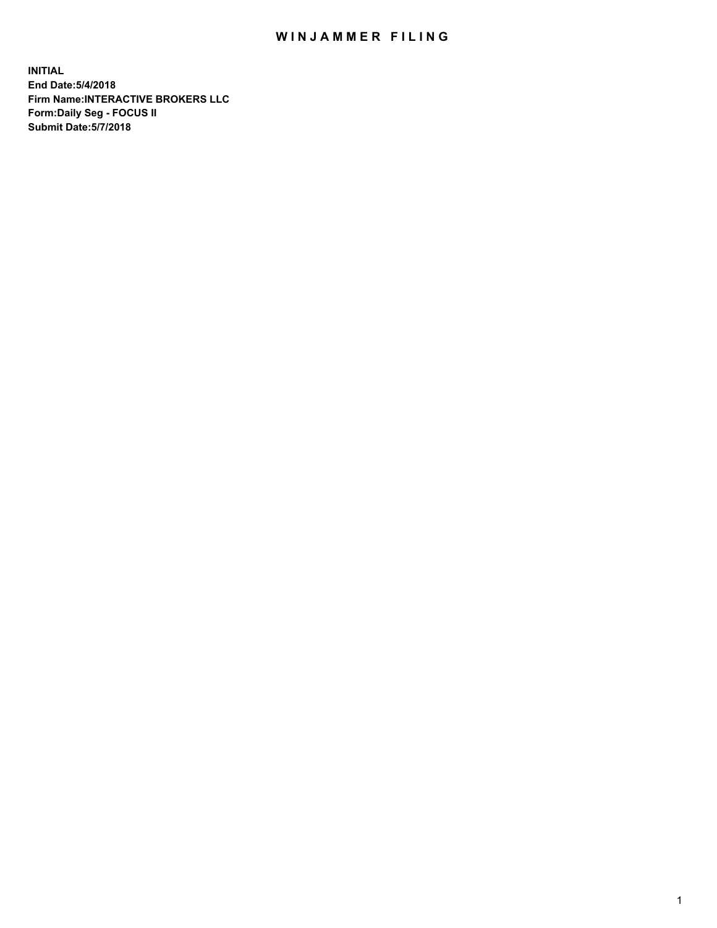## WIN JAMMER FILING

**INITIAL End Date:5/4/2018 Firm Name:INTERACTIVE BROKERS LLC Form:Daily Seg - FOCUS II Submit Date:5/7/2018**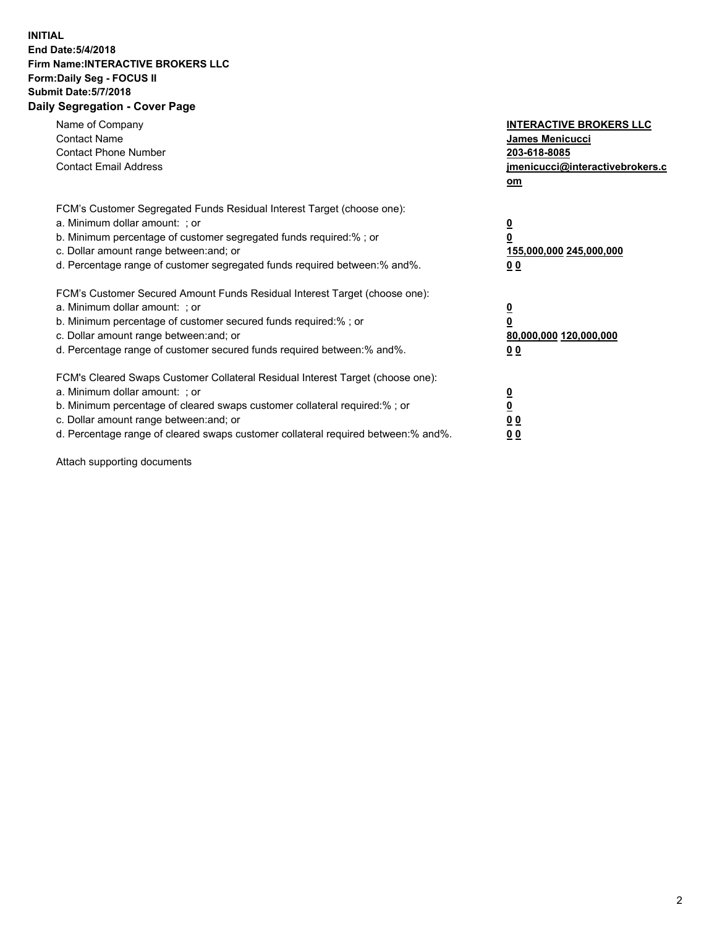## **INITIAL End Date:5/4/2018 Firm Name:INTERACTIVE BROKERS LLC Form:Daily Seg - FOCUS II Submit Date:5/7/2018 Daily Segregation - Cover Page**

| Name of Company<br><b>Contact Name</b><br><b>Contact Phone Number</b><br><b>Contact Email Address</b>                                                                                                                                                                                                                          | <b>INTERACTIVE BROKERS LLC</b><br><b>James Menicucci</b><br>203-618-8085<br>jmenicucci@interactivebrokers.c<br>om |
|--------------------------------------------------------------------------------------------------------------------------------------------------------------------------------------------------------------------------------------------------------------------------------------------------------------------------------|-------------------------------------------------------------------------------------------------------------------|
| FCM's Customer Segregated Funds Residual Interest Target (choose one):<br>a. Minimum dollar amount: ; or<br>b. Minimum percentage of customer segregated funds required:% ; or<br>c. Dollar amount range between: and; or<br>d. Percentage range of customer segregated funds required between:% and%.                         | $\overline{\mathbf{0}}$<br>0<br>155,000,000 245,000,000<br>0 <sub>0</sub>                                         |
| FCM's Customer Secured Amount Funds Residual Interest Target (choose one):<br>a. Minimum dollar amount: ; or<br>b. Minimum percentage of customer secured funds required:%; or<br>c. Dollar amount range between: and; or<br>d. Percentage range of customer secured funds required between: % and %.                          | $\overline{\mathbf{0}}$<br>$\overline{\mathbf{0}}$<br>80,000,000 120,000,000<br>00                                |
| FCM's Cleared Swaps Customer Collateral Residual Interest Target (choose one):<br>a. Minimum dollar amount: ; or<br>b. Minimum percentage of cleared swaps customer collateral required:% ; or<br>c. Dollar amount range between: and; or<br>d. Percentage range of cleared swaps customer collateral required between:% and%. | $\overline{\mathbf{0}}$<br>$\overline{\mathbf{0}}$<br>0 <sub>0</sub><br>0 <sub>0</sub>                            |

Attach supporting documents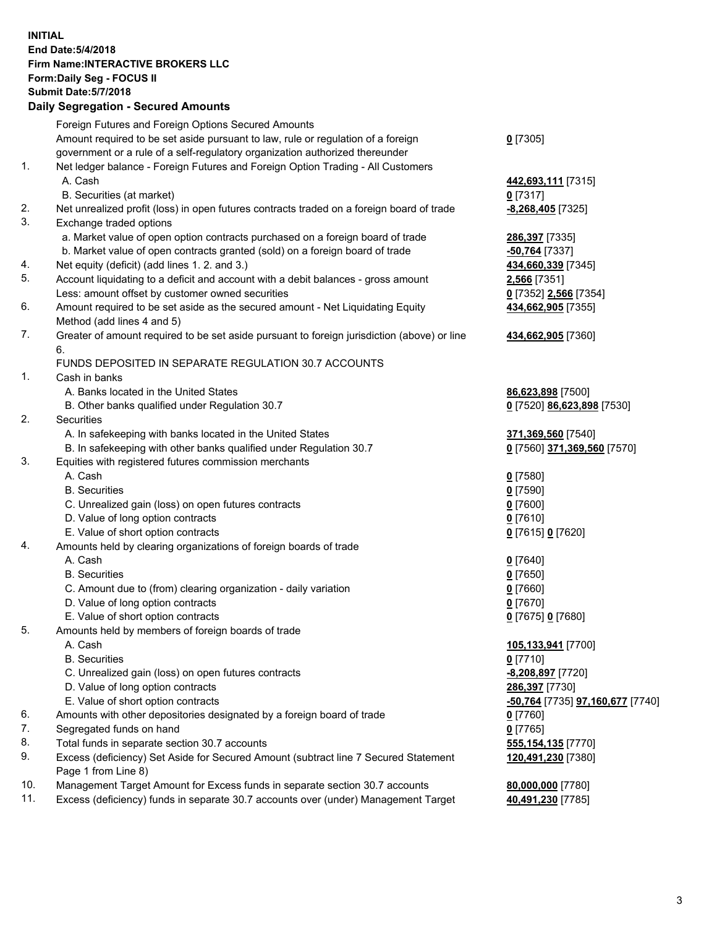## **INITIAL End Date:5/4/2018 Firm Name:INTERACTIVE BROKERS LLC Form:Daily Seg - FOCUS II Submit Date:5/7/2018 Daily Segregation - Secured Amounts**

|     | Foreign Futures and Foreign Options Secured Amounts                                                                                                               |                                  |
|-----|-------------------------------------------------------------------------------------------------------------------------------------------------------------------|----------------------------------|
|     | Amount required to be set aside pursuant to law, rule or regulation of a foreign                                                                                  | $0$ [7305]                       |
|     | government or a rule of a self-regulatory organization authorized thereunder                                                                                      |                                  |
| 1.  | Net ledger balance - Foreign Futures and Foreign Option Trading - All Customers                                                                                   |                                  |
|     | A. Cash                                                                                                                                                           | 442,693,111 [7315]               |
|     | B. Securities (at market)                                                                                                                                         | $0$ [7317]                       |
| 2.  | Net unrealized profit (loss) in open futures contracts traded on a foreign board of trade                                                                         | -8,268,405 [7325]                |
| 3.  | Exchange traded options                                                                                                                                           |                                  |
|     | a. Market value of open option contracts purchased on a foreign board of trade                                                                                    | 286,397 [7335]                   |
|     | b. Market value of open contracts granted (sold) on a foreign board of trade                                                                                      | -50,764 [7337]                   |
| 4.  | Net equity (deficit) (add lines 1. 2. and 3.)                                                                                                                     | 434,660,339 [7345]               |
| 5.  | Account liquidating to a deficit and account with a debit balances - gross amount                                                                                 | 2,566 [7351]                     |
|     | Less: amount offset by customer owned securities                                                                                                                  | 0 [7352] 2,566 [7354]            |
| 6.  | Amount required to be set aside as the secured amount - Net Liquidating Equity                                                                                    | 434,662,905 [7355]               |
|     | Method (add lines 4 and 5)                                                                                                                                        |                                  |
| 7.  | Greater of amount required to be set aside pursuant to foreign jurisdiction (above) or line                                                                       | 434,662,905 [7360]               |
|     | 6.                                                                                                                                                                |                                  |
|     | FUNDS DEPOSITED IN SEPARATE REGULATION 30.7 ACCOUNTS                                                                                                              |                                  |
| 1.  | Cash in banks                                                                                                                                                     |                                  |
|     | A. Banks located in the United States                                                                                                                             | 86,623,898 [7500]                |
|     | B. Other banks qualified under Regulation 30.7                                                                                                                    | 0 [7520] 86,623,898 [7530]       |
| 2.  | Securities                                                                                                                                                        |                                  |
|     | A. In safekeeping with banks located in the United States                                                                                                         | 371,369,560 [7540]               |
|     | B. In safekeeping with other banks qualified under Regulation 30.7                                                                                                | 0 [7560] 371,369,560 [7570]      |
| 3.  | Equities with registered futures commission merchants                                                                                                             |                                  |
|     | A. Cash                                                                                                                                                           | $0$ [7580]                       |
|     | <b>B.</b> Securities                                                                                                                                              | $0$ [7590]                       |
|     | C. Unrealized gain (loss) on open futures contracts                                                                                                               | $0$ [7600]                       |
|     | D. Value of long option contracts                                                                                                                                 | $0$ [7610]                       |
|     | E. Value of short option contracts                                                                                                                                | 0 [7615] 0 [7620]                |
| 4.  | Amounts held by clearing organizations of foreign boards of trade                                                                                                 |                                  |
|     | A. Cash                                                                                                                                                           | $0$ [7640]                       |
|     | <b>B.</b> Securities                                                                                                                                              | $0$ [7650]                       |
|     | C. Amount due to (from) clearing organization - daily variation                                                                                                   | $0$ [7660]                       |
|     | D. Value of long option contracts                                                                                                                                 | $0$ [7670]                       |
|     | E. Value of short option contracts                                                                                                                                | 0 [7675] 0 [7680]                |
| 5.  | Amounts held by members of foreign boards of trade                                                                                                                |                                  |
|     | A. Cash                                                                                                                                                           | 105,133,941 [7700]               |
|     | <b>B.</b> Securities                                                                                                                                              | $0$ [7710]                       |
|     | C. Unrealized gain (loss) on open futures contracts                                                                                                               | -8,208,897 [7720]                |
|     | D. Value of long option contracts                                                                                                                                 | 286,397 [7730]                   |
|     | E. Value of short option contracts                                                                                                                                | -50,764 [7735] 97,160,677 [7740] |
| 6.  | Amounts with other depositories designated by a foreign board of trade                                                                                            | $0$ [7760]                       |
| 7.  | Segregated funds on hand                                                                                                                                          | $0$ [7765]                       |
| 8.  | Total funds in separate section 30.7 accounts                                                                                                                     |                                  |
| 9.  | Excess (deficiency) Set Aside for Secured Amount (subtract line 7 Secured Statement                                                                               | 555,154,135 [7770]               |
|     |                                                                                                                                                                   | 120,491,230 [7380]               |
| 10. | Page 1 from Line 8)                                                                                                                                               |                                  |
| 11. | Management Target Amount for Excess funds in separate section 30.7 accounts<br>Excess (deficiency) funds in separate 30.7 accounts over (under) Management Target | 80,000,000 [7780]                |
|     |                                                                                                                                                                   | 40,491,230 [7785]                |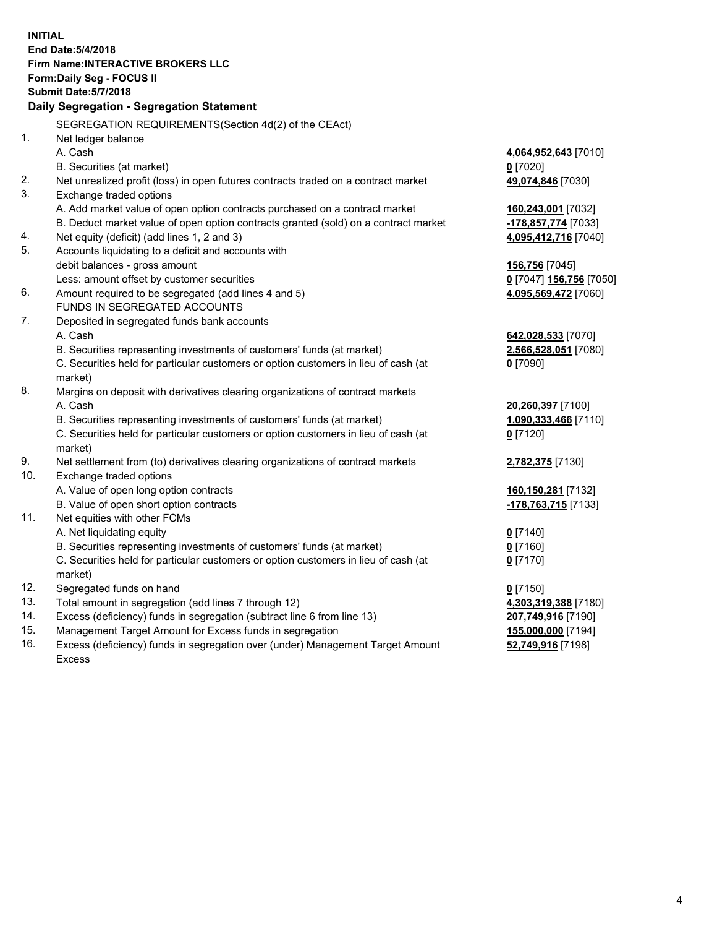**INITIAL End Date:5/4/2018 Firm Name:INTERACTIVE BROKERS LLC Form:Daily Seg - FOCUS II Submit Date:5/7/2018 Daily Segregation - Segregation Statement** SEGREGATION REQUIREMENTS(Section 4d(2) of the CEAct) 1. Net ledger balance A. Cash **4,064,952,643** [7010] B. Securities (at market) **0** [7020] 2. Net unrealized profit (loss) in open futures contracts traded on a contract market **49,074,846** [7030] 3. Exchange traded options A. Add market value of open option contracts purchased on a contract market **160,243,001** [7032] B. Deduct market value of open option contracts granted (sold) on a contract market **-178,857,774** [7033] 4. Net equity (deficit) (add lines 1, 2 and 3) **4,095,412,716** [7040] 5. Accounts liquidating to a deficit and accounts with debit balances - gross amount **156,756** [7045] Less: amount offset by customer securities **0** [7047] **156,756** [7050] 6. Amount required to be segregated (add lines 4 and 5) **4,095,569,472** [7060] FUNDS IN SEGREGATED ACCOUNTS 7. Deposited in segregated funds bank accounts A. Cash **642,028,533** [7070] B. Securities representing investments of customers' funds (at market) **2,566,528,051** [7080] C. Securities held for particular customers or option customers in lieu of cash (at market) **0** [7090] 8. Margins on deposit with derivatives clearing organizations of contract markets A. Cash **20,260,397** [7100] B. Securities representing investments of customers' funds (at market) **1,090,333,466** [7110] C. Securities held for particular customers or option customers in lieu of cash (at market) **0** [7120] 9. Net settlement from (to) derivatives clearing organizations of contract markets **2,782,375** [7130] 10. Exchange traded options A. Value of open long option contracts **160,150,281** [7132] B. Value of open short option contracts **-178,763,715** [7133] 11. Net equities with other FCMs A. Net liquidating equity **0** [7140] B. Securities representing investments of customers' funds (at market) **0** [7160] C. Securities held for particular customers or option customers in lieu of cash (at market) **0** [7170] 12. Segregated funds on hand **0** [7150] 13. Total amount in segregation (add lines 7 through 12) **4,303,319,388** [7180] 14. Excess (deficiency) funds in segregation (subtract line 6 from line 13) **207,749,916** [7190] 15. Management Target Amount for Excess funds in segregation **155,000,000** [7194] 16. Excess (deficiency) funds in segregation over (under) Management Target Amount **52,749,916** [7198]

Excess